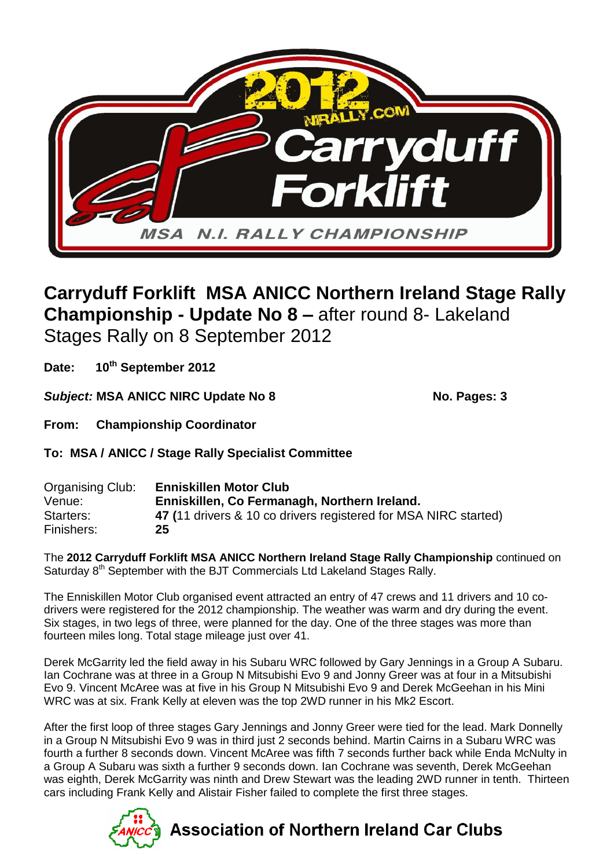

## **Carryduff Forklift MSA ANICC Northern Ireland Stage Rally Championship - Update No 8 –** after round 8- Lakeland

Stages Rally on 8 September 2012

Date: **th September 2012**

*Subject:* **MSA ANICC NIRC Update No 8 No. Pages: 3**

**From: Championship Coordinator**

**To: MSA / ANICC / Stage Rally Specialist Committee**

| Organising Club: | <b>Enniskillen Motor Club</b>                                   |
|------------------|-----------------------------------------------------------------|
| Venue:           | Enniskillen, Co Fermanagh, Northern Ireland.                    |
| Starters:        | 47 (11 drivers & 10 co drivers registered for MSA NIRC started) |
| Finishers:       | 25                                                              |

The **2012 Carryduff Forklift MSA ANICC Northern Ireland Stage Rally Championship** continued on Saturday 8<sup>th</sup> September with the BJT Commercials Ltd Lakeland Stages Rally.

The Enniskillen Motor Club organised event attracted an entry of 47 crews and 11 drivers and 10 codrivers were registered for the 2012 championship. The weather was warm and dry during the event. Six stages, in two legs of three, were planned for the day. One of the three stages was more than fourteen miles long. Total stage mileage just over 41.

Derek McGarrity led the field away in his Subaru WRC followed by Gary Jennings in a Group A Subaru. Ian Cochrane was at three in a Group N Mitsubishi Evo 9 and Jonny Greer was at four in a Mitsubishi Evo 9. Vincent McAree was at five in his Group N Mitsubishi Evo 9 and Derek McGeehan in his Mini WRC was at six. Frank Kelly at eleven was the top 2WD runner in his Mk2 Escort.

After the first loop of three stages Gary Jennings and Jonny Greer were tied for the lead. Mark Donnelly in a Group N Mitsubishi Evo 9 was in third just 2 seconds behind. Martin Cairns in a Subaru WRC was fourth a further 8 seconds down. Vincent McAree was fifth 7 seconds further back while Enda McNulty in a Group A Subaru was sixth a further 9 seconds down. Ian Cochrane was seventh, Derek McGeehan was eighth, Derek McGarrity was ninth and Drew Stewart was the leading 2WD runner in tenth. Thirteen cars including Frank Kelly and Alistair Fisher failed to complete the first three stages.



**Association of Northern Ireland Car Clubs**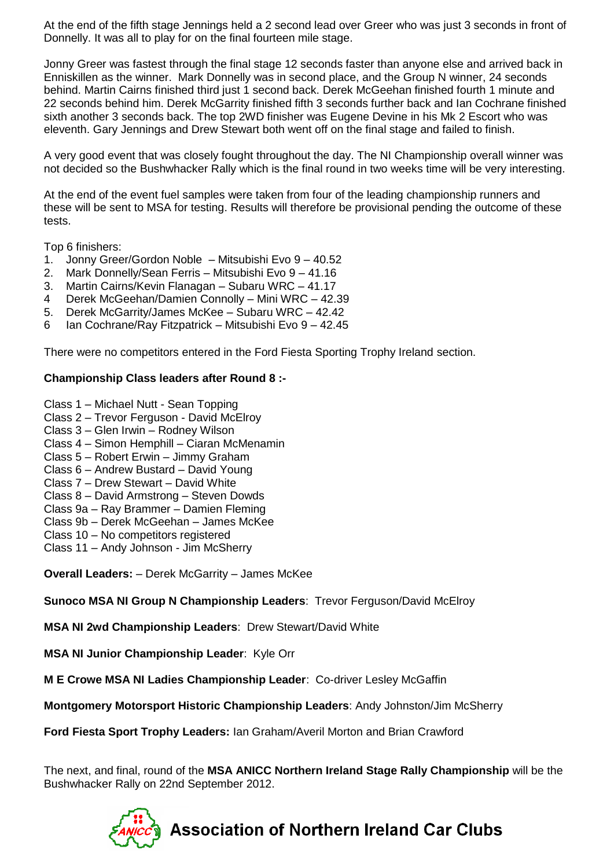At the end of the fifth stage Jennings held a 2 second lead over Greer who was just 3 seconds in front of Donnelly. It was all to play for on the final fourteen mile stage.

Jonny Greer was fastest through the final stage 12 seconds faster than anyone else and arrived back in Enniskillen as the winner. Mark Donnelly was in second place, and the Group N winner, 24 seconds behind. Martin Cairns finished third just 1 second back. Derek McGeehan finished fourth 1 minute and 22 seconds behind him. Derek McGarrity finished fifth 3 seconds further back and Ian Cochrane finished sixth another 3 seconds back. The top 2WD finisher was Eugene Devine in his Mk 2 Escort who was eleventh. Gary Jennings and Drew Stewart both went off on the final stage and failed to finish.

A very good event that was closely fought throughout the day. The NI Championship overall winner was not decided so the Bushwhacker Rally which is the final round in two weeks time will be very interesting.

At the end of the event fuel samples were taken from four of the leading championship runners and these will be sent to MSA for testing. Results will therefore be provisional pending the outcome of these tests.

Top 6 finishers:

- 1. Jonny Greer/Gordon Noble Mitsubishi Evo 9 40.52
- 2. Mark Donnelly/Sean Ferris Mitsubishi Evo 9 41.16
- 3. Martin Cairns/Kevin Flanagan Subaru WRC 41.17
- 4 Derek McGeehan/Damien Connolly Mini WRC 42.39
- 5. Derek McGarrity/James McKee Subaru WRC 42.42
- 6 Ian Cochrane/Ray Fitzpatrick Mitsubishi Evo 9 42.45

There were no competitors entered in the Ford Fiesta Sporting Trophy Ireland section.

## **Championship Class leaders after Round 8 :-**

- Class 1 Michael Nutt Sean Topping
- Class 2 Trevor Ferguson David McElroy
- Class 3 Glen Irwin Rodney Wilson
- Class 4 Simon Hemphill Ciaran McMenamin
- Class 5 Robert Erwin Jimmy Graham
- Class 6 Andrew Bustard David Young
- Class 7 Drew Stewart David White
- Class 8 David Armstrong Steven Dowds
- Class 9a Ray Brammer Damien Fleming
- Class 9b Derek McGeehan James McKee
- Class 10 No competitors registered
- Class 11 Andy Johnson Jim McSherry

**Overall Leaders:** – Derek McGarrity – James McKee

**Sunoco MSA NI Group N Championship Leaders**: Trevor Ferguson/David McElroy

**MSA NI 2wd Championship Leaders**: Drew Stewart/David White

**MSA NI Junior Championship Leader**: Kyle Orr

**M E Crowe MSA NI Ladies Championship Leader**: Co-driver Lesley McGaffin

**Montgomery Motorsport Historic Championship Leaders**: Andy Johnston/Jim McSherry

**Ford Fiesta Sport Trophy Leaders:** Ian Graham/Averil Morton and Brian Crawford

The next, and final, round of the **MSA ANICC Northern Ireland Stage Rally Championship** will be the Bushwhacker Rally on 22nd September 2012.



## **Association of Northern Ireland Car Clubs**